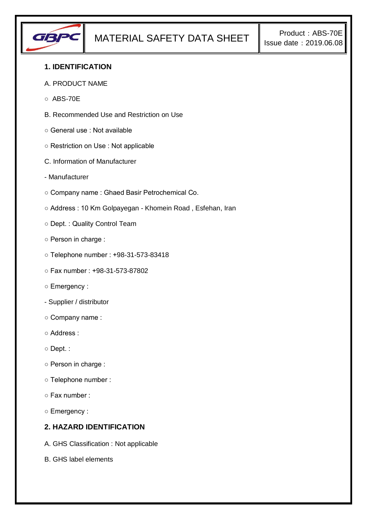

## **1. IDENTIFICATION**

- A. PRODUCT NAME
- $O$  ABS-70F
- B. Recommended Use and Restriction on Use
- General use : Not available
- Restriction on Use : Not applicable
- C. Information of Manufacturer
- Manufacturer
- Company name : Ghaed Basir Petrochemical Co.
- Address : 10 Km Golpayegan Khomein Road , Esfehan, Iran
- Dept. : Quality Control Team
- Person in charge :
- Telephone number : +98-31-573-83418
- Fax number : +98-31-573-87802
- Emergency :
- Supplier / distributor
- Company name :
- Address :
- Dept. :
- Person in charge :
- Telephone number :
- Fax number :
- Emergency :

#### **2. HAZARD IDENTIFICATION**

- A. GHS Classification : Not applicable
- B. GHS label elements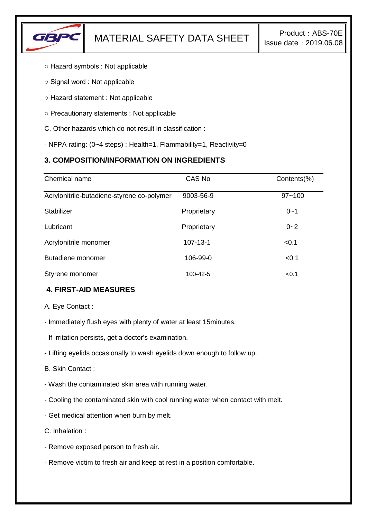

- Hazard symbols : Not applicable
- Signal word : Not applicable
- Hazard statement : Not applicable
- Precautionary statements : Not applicable
- C. Other hazards which do not result in classification :
- NFPA rating: (0~4 steps) : Health=1, Flammability=1, Reactivity=0

# **3. COMPOSITION/INFORMATION ON INGREDIENTS**

| Chemical name                              | CAS No         | Contents(%) |
|--------------------------------------------|----------------|-------------|
| Acrylonitrile-butadiene-styrene co-polymer | 9003-56-9      | $97 - 100$  |
| <b>Stabilizer</b>                          | Proprietary    | $0 - 1$     |
| Lubricant                                  | Proprietary    | $0 - 2$     |
| Acrylonitrile monomer                      | $107 - 13 - 1$ | < 0.1       |
| Butadiene monomer                          | 106-99-0       | < 0.1       |
| Styrene monomer                            | 100-42-5       | < 0.1       |

### **4. FIRST-AID MEASURES**

A. Eye Contact :

- Immediately flush eyes with plenty of water at least 15minutes.
- If irritation persists, get a doctor's examination.
- Lifting eyelids occasionally to wash eyelids down enough to follow up.

B. Skin Contact :

- Wash the contaminated skin area with running water.
- Cooling the contaminated skin with cool running water when contact with melt.
- Get medical attention when burn by melt.

C. Inhalation :

- Remove exposed person to fresh air.
- Remove victim to fresh air and keep at rest in a position comfortable.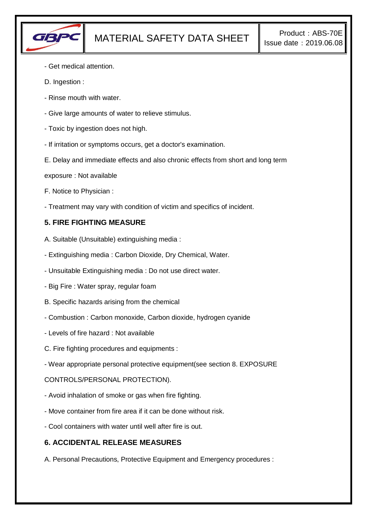

- Get medical attention.
- D. Ingestion :
- Rinse mouth with water.
- Give large amounts of water to relieve stimulus.
- Toxic by ingestion does not high.
- If irritation or symptoms occurs, get a doctor's examination.
- E. Delay and immediate effects and also chronic effects from short and long term
- exposure : Not available
- F. Notice to Physician :
- Treatment may vary with condition of victim and specifics of incident.

### **5. FIRE FIGHTING MEASURE**

- A. Suitable (Unsuitable) extinguishing media :
- Extinguishing media : Carbon Dioxide, Dry Chemical, Water.
- Unsuitable Extinguishing media : Do not use direct water.
- Big Fire : Water spray, regular foam
- B. Specific hazards arising from the chemical
- Combustion : Carbon monoxide, Carbon dioxide, hydrogen cyanide
- Levels of fire hazard : Not available
- C. Fire fighting procedures and equipments :
- Wear appropriate personal protective equipment(see section 8. EXPOSURE

CONTROLS/PERSONAL PROTECTION).

- Avoid inhalation of smoke or gas when fire fighting.
- Move container from fire area if it can be done without risk.
- Cool containers with water until well after fire is out.

### **6. ACCIDENTAL RELEASE MEASURES**

A. Personal Precautions, Protective Equipment and Emergency procedures :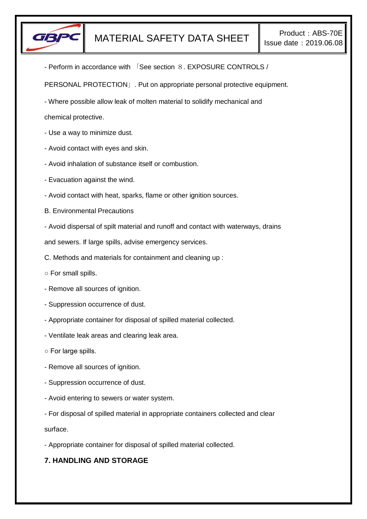

- Perform in accordance with 「See section 8. EXPOSURE CONTROLS /

PERSONAL PROTECTION」. Put on appropriate personal protective equipment.

- Where possible allow leak of molten material to solidify mechanical and

chemical protective.

- Use a way to minimize dust.
- Avoid contact with eyes and skin.
- Avoid inhalation of substance itself or combustion.
- Evacuation against the wind.
- Avoid contact with heat, sparks, flame or other ignition sources.
- B. Environmental Precautions
- Avoid dispersal of spilt material and runoff and contact with waterways, drains

and sewers. If large spills, advise emergency services.

- C. Methods and materials for containment and cleaning up :
- For small spills.
- Remove all sources of ignition.
- Suppression occurrence of dust.
- Appropriate container for disposal of spilled material collected.
- Ventilate leak areas and clearing leak area.
- For large spills.
- Remove all sources of ignition.
- Suppression occurrence of dust.
- Avoid entering to sewers or water system.
- For disposal of spilled material in appropriate containers collected and clear

surface.

- Appropriate container for disposal of spilled material collected.

## **7. HANDLING AND STORAGE**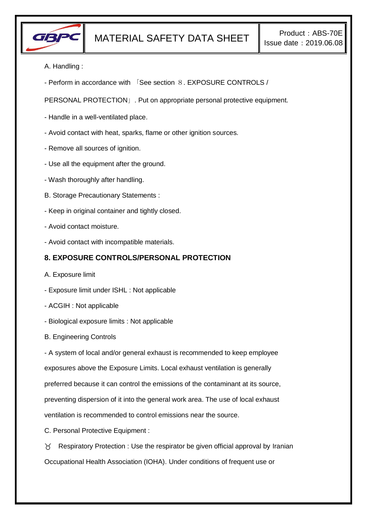

- A. Handling :
- Perform in accordance with 「See section 8. EXPOSURE CONTROLS /

PERSONAL PROTECTION」. Put on appropriate personal protective equipment.

- Handle in a well-ventilated place.
- Avoid contact with heat, sparks, flame or other ignition sources.
- Remove all sources of ignition.
- Use all the equipment after the ground.
- Wash thoroughly after handling.
- B. Storage Precautionary Statements :
- Keep in original container and tightly closed.
- Avoid contact moisture.
- Avoid contact with incompatible materials.

# **8. EXPOSURE CONTROLS/PERSONAL PROTECTION**

- A. Exposure limit
- Exposure limit under ISHL : Not applicable
- ACGIH : Not applicable
- Biological exposure limits : Not applicable
- B. Engineering Controls

- A system of local and/or general exhaust is recommended to keep employee

exposures above the Exposure Limits. Local exhaust ventilation is generally

preferred because it can control the emissions of the contaminant at its source,

preventing dispersion of it into the general work area. The use of local exhaust

ventilation is recommended to control emissions near the source.

C. Personal Protective Equipment :

 $\gamma$  Respiratory Protection : Use the respirator be given official approval by Iranian Occupational Health Association (IOHA). Under conditions of frequent use or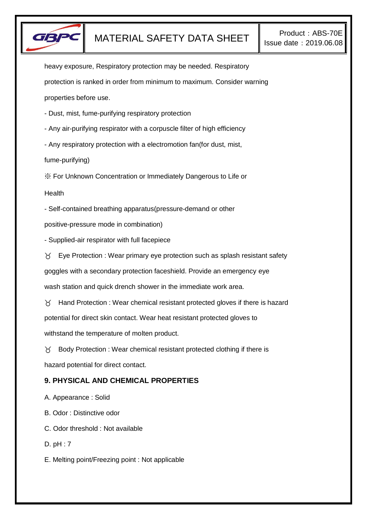

heavy exposure, Respiratory protection may be needed. Respiratory protection is ranked in order from minimum to maximum. Consider warning properties before use.

- Dust, mist, fume-purifying respiratory protection
- Any air-purifying respirator with a corpuscle filter of high efficiency
- Any respiratory protection with a electromotion fan(for dust, mist,

fume-purifying)

※ For Unknown Concentration or Immediately Dangerous to Life or

Health

- Self-contained breathing apparatus(pressure-demand or other

positive-pressure mode in combination)

- Supplied-air respirator with full facepiece

 $\gamma$  Eye Protection : Wear primary eye protection such as splash resistant safety goggles with a secondary protection faceshield. Provide an emergency eye wash station and quick drench shower in the immediate work area.

 $\gamma$  Hand Protection : Wear chemical resistant protected gloves if there is hazard potential for direct skin contact. Wear heat resistant protected gloves to withstand the temperature of molten product.

 $\chi$  Body Protection : Wear chemical resistant protected clothing if there is hazard potential for direct contact.

## **9. PHYSICAL AND CHEMICAL PROPERTIES**

A. Appearance : Solid

B. Odor : Distinctive odor

C. Odor threshold : Not available

D. pH : 7

E. Melting point/Freezing point : Not applicable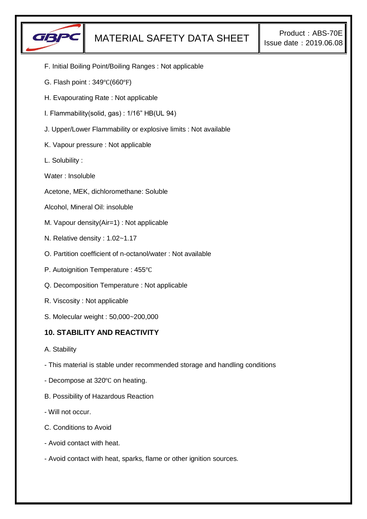

- F. Initial Boiling Point/Boiling Ranges : Not applicable
- G. Flash point : 349℃(660℉)
- H. Evapourating Rate : Not applicable
- I. Flammability(solid, gas) : 1/16" HB(UL 94)
- J. Upper/Lower Flammability or explosive limits : Not available
- K. Vapour pressure : Not applicable
- L. Solubility :
- Water : Insoluble
- Acetone, MEK, dichloromethane: Soluble
- Alcohol, Mineral Oil: insoluble
- M. Vapour density(Air=1) : Not applicable
- N. Relative density : 1.02~1.17
- O. Partition coefficient of n-octanol/water : Not available
- P. Autoignition Temperature : 455℃
- Q. Decomposition Temperature : Not applicable
- R. Viscosity : Not applicable
- S. Molecular weight : 50,000~200,000

## **10. STABILITY AND REACTIVITY**

- A. Stability
- This material is stable under recommended storage and handling conditions
- Decompose at 320℃ on heating.
- B. Possibility of Hazardous Reaction
- Will not occur.
- C. Conditions to Avoid
- Avoid contact with heat.
- Avoid contact with heat, sparks, flame or other ignition sources.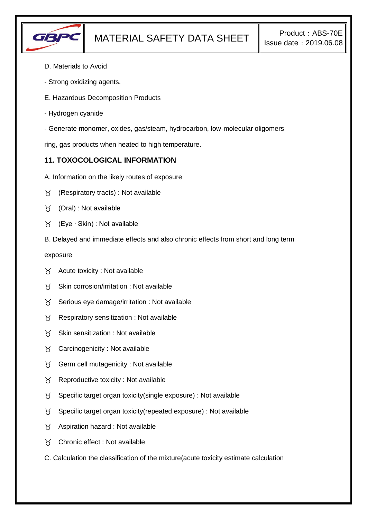

- D. Materials to Avoid
- Strong oxidizing agents.
- E. Hazardous Decomposition Products
- Hydrogen cyanide
- Generate monomer, oxides, gas/steam, hydrocarbon, low-molecular oligomers

ring, gas products when heated to high temperature.

# **11. TOXOCOLOGICAL INFORMATION**

- A. Information on the likely routes of exposure
- (Respiratory tracts) : Not available
- (Oral) : Not available
- (Eye ∙ Skin) : Not available
- B. Delayed and immediate effects and also chronic effects from short and long term

exposure

- $\forall$  Acute toxicity : Not available
- $\gamma$  Skin corrosion/irritation : Not available
- $\gamma$  Serious eye damage/irritation : Not available
- $\gamma$  Respiratory sensitization : Not available
- $X$  Skin sensitization : Not available
- $\gamma$  Carcinogenicity : Not available
- $\gamma$  Germ cell mutagenicity : Not available
- $\gamma$  Reproductive toxicity : Not available
- $\gamma$  Specific target organ toxicity(single exposure) : Not available
- $\gamma$  Specific target organ toxicity (repeated exposure) : Not available
- $\gamma$  Aspiration hazard : Not available
- Chronic effect : Not available
- C. Calculation the classification of the mixture(acute toxicity estimate calculation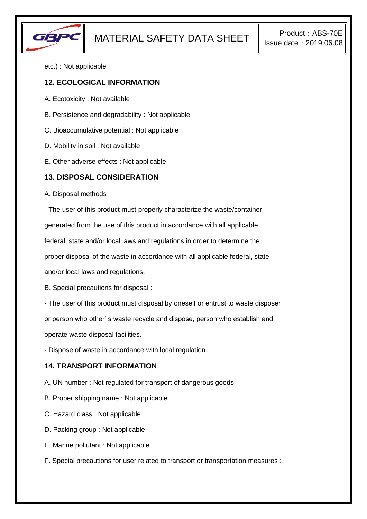

etc.) : Not applicable

### **12. ECOLOGICAL INFORMATION**

- A. Ecotoxicity : Not available
- B. Persistence and degradability : Not applicable
- C. Bioaccumulative potential : Not applicable
- D. Mobility in soil : Not available
- E. Other adverse effects : Not applicable

#### **13. DISPOSAL CONSIDERATION**

A. Disposal methods

- The user of this product must properly characterize the waste/container generated from the use of this product in accordance with all applicable federal, state and/or local laws and regulations in order to determine the proper disposal of the waste in accordance with all applicable federal, state and/or local laws and regulations.

B. Special precautions for disposal :

- The user of this product must disposal by oneself or entrust to waste disposer

or person who other' s waste recycle and dispose, person who establish and

operate waste disposal facilities.

- Dispose of waste in accordance with local regulation.

#### **14. TRANSPORT INFORMATION**

A. UN number : Not regulated for transport of dangerous goods

- B. Proper shipping name : Not applicable
- C. Hazard class : Not applicable
- D. Packing group : Not applicable
- E. Marine pollutant : Not applicable
- F. Special precautions for user related to transport or transportation measures :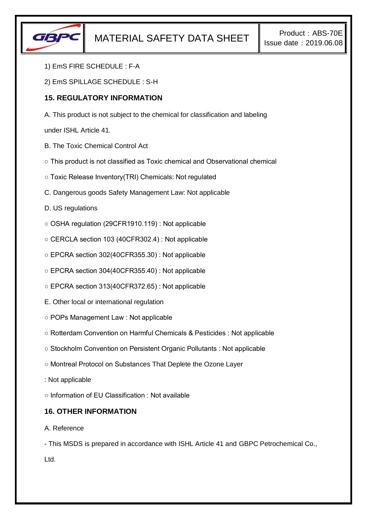

- 1) EmS FIRE SCHEDULE : F-A
- 2) EmS SPILLAGE SCHEDULE : S-H

## **15. REGULATORY INFORMATION**

A. This product is not subject to the chemical for classification and labeling

under ISHL Article 41.

- B. The Toxic Chemical Control Act
- This product is not classified as Toxic chemical and Observational chemical
- Toxic Release Inventory(TRI) Chemicals: Not regulated
- C. Dangerous goods Safety Management Law: Not applicable
- D. US regulations
- OSHA regulation (29CFR1910.119) : Not applicable
- CERCLA section 103 (40CFR302.4) : Not applicable
- EPCRA section 302(40CFR355.30) : Not applicable
- EPCRA section 304(40CFR355.40) : Not applicable
- EPCRA section 313(40CFR372.65) : Not applicable
- E. Other local or international regulation
- POPs Management Law : Not applicable
- Rotterdam Convention on Harmful Chemicals & Pesticides : Not applicable
- Stockholm Convention on Persistent Organic Pollutants : Not applicable
- Montreal Protocol on Substances That Deplete the Ozone Layer
- : Not applicable
- Information of EU Classification : Not available

### **16. OTHER INFORMATION**

#### A. Reference

- This MSDS is prepared in accordance with ISHL Article 41 and GBPC Petrochemical Co.,

Ltd.